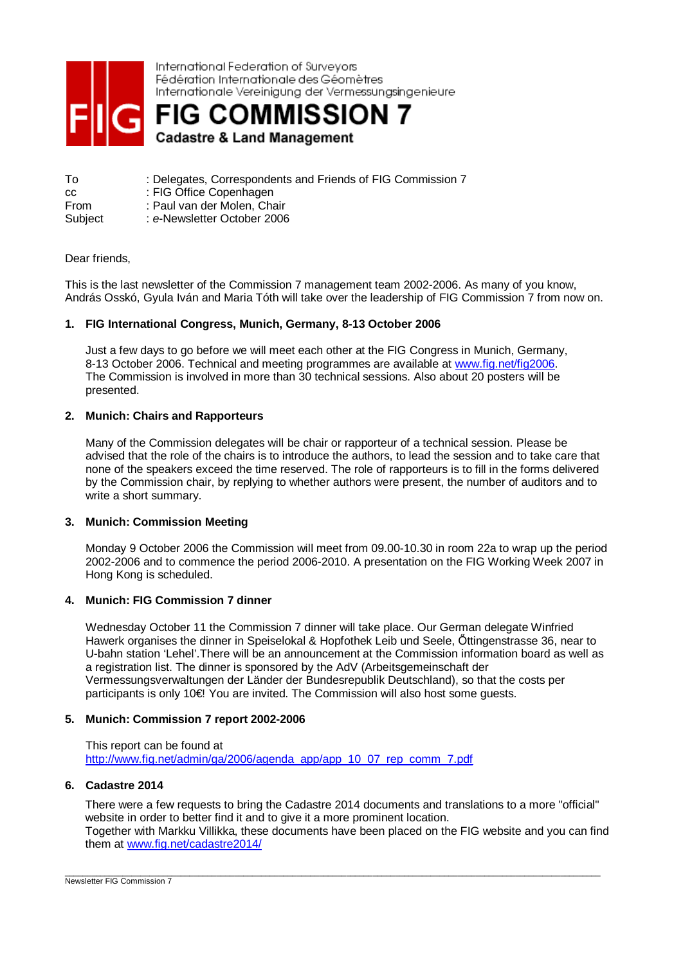

International Federation of Surveyors Fédération Internationale des Géomètres Internationale Vereinigung der Vermessungsingenieure

**FIG COMMISSION 7 Cadastre & Land Management** 

To : Delegates, Correspondents and Friends of FIG Commission 7 cc : FIG Office Copenhagen From : Paul van der Molen, Chair Subject : *e*-Newsletter October 2006

# Dear friends,

This is the last newsletter of the Commission 7 management team 2002-2006. As many of you know, András Osskó, Gyula Iván and Maria Tóth will take over the leadership of FIG Commission 7 from now on.

## **1. FIG International Congress, Munich, Germany, 8-13 October 2006**

Just a few days to go before we will meet each other at the FIG Congress in Munich, Germany, 8-13 October 2006. Technical and meeting programmes are available at [www.fig.net/fig2006.](http://www.fig.net/fig2006) The Commission is involved in more than 30 technical sessions. Also about 20 posters will be presented.

## **2. Munich: Chairs and Rapporteurs**

Many of the Commission delegates will be chair or rapporteur of a technical session. Please be advised that the role of the chairs is to introduce the authors, to lead the session and to take care that none of the speakers exceed the time reserved. The role of rapporteurs is to fill in the forms delivered by the Commission chair, by replying to whether authors were present, the number of auditors and to write a short summary.

#### **3. Munich: Commission Meeting**

Monday 9 October 2006 the Commission will meet from 09.00-10.30 in room 22a to wrap up the period 2002-2006 and to commence the period 2006-2010. A presentation on the FIG Working Week 2007 in Hong Kong is scheduled.

# **4. Munich: FIG Commission 7 dinner**

Wednesday October 11 the Commission 7 dinner will take place. Our German delegate Winfried Hawerk organises the dinner in Speiselokal & Hopfothek Leib und Seele, Őttingenstrasse 36, near to U-bahn station 'Lehel'.There will be an announcement at the Commission information board as well as a registration list. The dinner is sponsored by the AdV (Arbeitsgemeinschaft der Vermessungsverwaltungen der Länder der Bundesrepublik Deutschland), so that the costs per participants is only 10€ You are invited. The Commission will also host some guests.

# **5. Munich: Commission 7 report 2002-2006**

This report can be found at [http://www.fig.net/admin/ga/2006/agenda\\_app/app\\_10\\_07\\_rep\\_comm\\_7.pdf](http://www.fig.net/admin/ga/2006/agenda_app/app_10_07_rep_comm_7.pdf)

## **6. Cadastre 2014**

There were a few requests to bring the Cadastre 2014 documents and translations to a more "official" website in order to better find it and to give it a more prominent location. Together with Markku Villikka, these documents have been placed on the FIG website and you can find them at [www.fig.net/cadastre2014/](http://www.fig.net/cadastre2014/)

\_\_\_\_\_\_\_\_\_\_\_\_\_\_\_\_\_\_\_\_\_\_\_\_\_\_\_\_\_\_\_\_\_\_\_\_\_\_\_\_\_\_\_\_\_\_\_\_\_\_\_\_\_\_\_\_\_\_\_\_\_\_\_\_\_\_\_\_\_\_\_\_\_\_\_\_\_\_\_\_\_\_\_\_\_\_\_\_\_\_\_\_\_\_\_\_\_\_\_\_\_\_\_\_\_\_\_\_\_\_\_\_\_\_\_\_\_\_\_\_